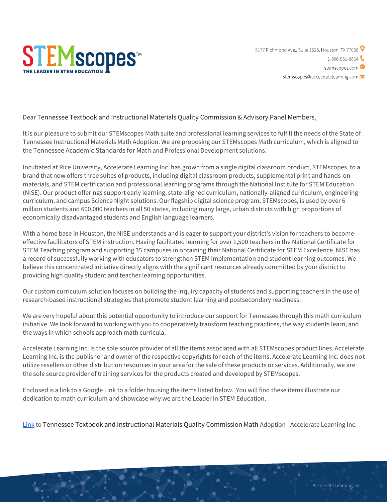

5177 Richmond Ave., Suite 1025, Houston, TX 77056 9  $1-800-531-0864$ stemscopes.com **+** stemscopes@acceleratelearning.com

Dear Tennessee Textbook and Instructional Materials Quality Commission & Advisory Panel Members,

It is our pleasure to submit our STEMscopes Math suite and professional learning services to fulfill the needs of the State of Tennessee Instructional Materials Math Adoption. We are proposing our STEMscopes Math curriculum, which is aligned to the Tennessee Academic Standards for Math and Professional Development solutions.

Incubated at Rice University, Accelerate Learning Inc. has grown from a single digital classroom product, STEMscopes, to a brand that now offers three suites of products, including digital classroom products, supplemental print and hands-on materials, and STEM certification and professional learning programs through the National Institute for STEM Education (NISE). Our product offerings support early learning, state-aligned curriculum, nationally-aligned curriculum, engineering curriculum, and campus Science Night solutions. Our flagship digital science program, STEMscopes, is used by over 6 million students and 600,000 teachers in all 50 states, including many large, urban districts with high proportions of economically disadvantaged students and English language learners.

With a home base in Houston, the NISE understands and is eager to support your district's vision for teachers to become effective facilitators of STEM instruction. Having facilitated learning for over 1,500 teachers in the National Certificate for STEM Teaching program and supporting 35 campuses in obtaining their National Certificate for STEM Excellence, NISE has a record of successfully working with educators to strengthen STEM implementation and student learning outcomes. We believe this concentrated initiative directly aligns with the significant resources already committed by your district to providing high quality student and teacher learning opportunities.

Our custom curriculum solution focuses on building the inquiry capacity of students and supporting teachers in the use of research-based instructional strategies that promote student learning and postsecondary readiness.

We are very hopeful about this potential opportunity to introduce our support for Tennessee through this math curriculum initiative. We look forward to working with you to cooperatively transform teaching practices, the way students learn, and the ways in which schools approach math curricula.

Accelerate Learning Inc. is the sole source provider of all the items associated with all STEMscopes product lines. Accelerate Learning Inc. is the publisher and owner of the respective copyrights for each of the items. Accelerate Learning Inc. does not utilize resellers or other distribution resources in your area for the sale of these products or services. Additionally, we are the sole source provider of training services for the products created and developed by STEMscopes.

Enclosed is a link to a Google Link to a folder housing the items listed below. You will find these items illustrate our dedication to math curriculum and showcase why we are the Leader in STEM Education.

[Link](https://drive.google.com/drive/folders/1iyOG4JQ7jv3SvLmu4s6egCxylrAK3Qtl?usp=sharing) to Tennessee Textbook and Instructional Materials Quality Commission Math Adoption - Accelerate Learning Inc.